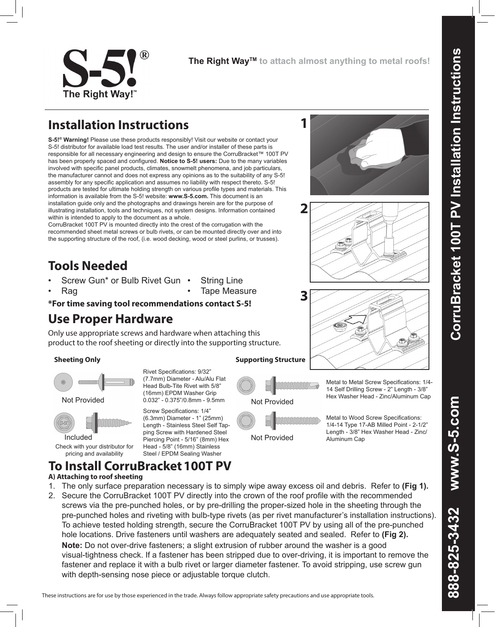**1**

## **Installation Instructions**

**S-5!® Warning!** Please use these products responsibly! Visit our website or contact your S-5! distributor for available load test results. The user and/or installer of these parts is responsible for all necessary engineering and design to ensure the CorruBracket™ 100T PV has been properly spaced and configured. **Notice to S-5! users:** Due to the many variables involved with specific panel products, climates, snowmelt phenomena, and job particulars, the manufacturer cannot and does not express any opinions as to the suitability of any S-5! assembly for any specific application and assumes no liability with respect thereto. S-5! products are tested for ultimate holding strength on various profile types and materials. This information is available from the S-5! website: **www.S-5.com.** This document is an installation guide only and the photographs and drawings herein are for the purpose of illustrating installation, tools and techniques, not system designs. Information contained within is intended to apply to the document as a whole.

CorruBracket 100T PV is mounted directly into the crest of the corrugation with the recommended sheet metal screws or bulb rivets, or can be mounted directly over and into the supporting structure of the roof, (i.e. wood decking, wood or steel purlins, or trusses).

# **Tools Needed**

- Screw Gun\* or Bulb Rivet Gun
- Rag
- **String Line** • Tape Measure
- **\*For time saving tool recommendations contact S-5!**

**To Install CorruBracket100T PV**

## **Use Proper Hardware**

Only use appropriate screws and hardware when attaching this product to the roof sheeting or directly into the supporting structure.

#### **Sheeting Only Supporting Structure**







Check with your distributor for pricing and availability

**A) Attaching to roof sheeting**

Not Provided **0.032**" - 0.375"/0.8mm - 9.5mm Not Provided Rivet Specifications: 9/32" (7.7mm) Diameter - Alu/Alu Flat Head Bulb-Tite Rivet with 5/8" (16mm) EPDM Washer Grip

Screw Specifications: 1/4" (6.3mm) Diameter - 1" (25mm) Length - Stainless Steel Self Tapping Screw with Hardened Steel Piercing Point - 5/16" (8mm) Hex Head - 5/8" (16mm) Stainless Steel / EPDM Sealing Washer



Not Provided

Hex Washer Head - Zinc/Aluminum Cap Metal to Wood Screw Specifications:

1/4-14 Type 17-AB Milled Point - 2-1/2" Length - 3/8" Hex Washer Head - Zinc/ Aluminum Cap

Metal to Metal Screw Specifications: 1/4- 14 Self Drilling Screw - 2" Length - 3/8"











visual-tightness check. If a fastener has been stripped due to over-driving, it is important to remove the

1. The only surface preparation necessary is to simply wipe away excess oil and debris. Refer to **(Fig 1).** 2. Secure the CorruBracket 100T PV directly into the crown of the roof profile with the recommended screws via the pre-punched holes, or by pre-drilling the proper-sized hole in the sheeting through the pre-punched holes and riveting with bulb-type rivets (as per rivet manufacturer's installation instructions). To achieve tested holding strength, secure the CorruBracket 100T PV by using all of the pre-punched hole locations. Drive fasteners until washers are adequately seated and sealed. Refer to **(Fig 2). Note:** Do not over-drive fasteners; a slight extrusion of rubber around the washer is a good

These instructions are for use by those experienced in the trade. Always follow appropriate safety precautions and use appropriate tools.

www.S-5.com 888-825-3432